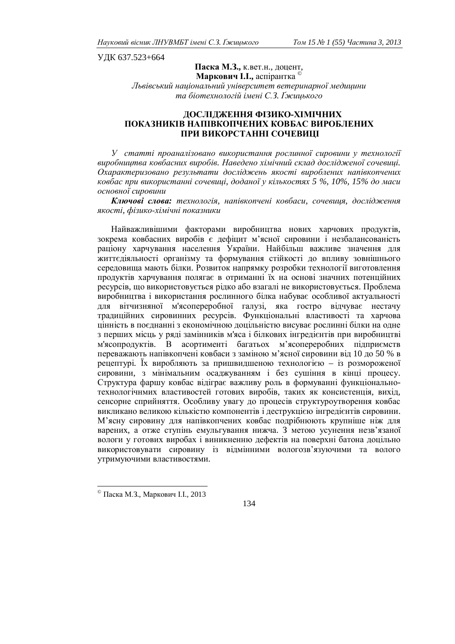ɍȾɄ 637.523+664

# Паска М.З., к.вет.н., доцент, **Маркович І.І., аспірантка** © *Ʌɶɜɿɜɫɶɤɢɣɧɚɰɿɨɧɚɥɶɧɢɣɭɧɿɜɟɪɫɢɬɟɬɜɟɬɟɪɢɧɚɪɧɨʀɦɟɞɢɰɢɧɢ*  та біотехнологій імені С.3. Ґжицького

## ДОСЛІДЖЕННЯ ФІЗИКО-ХІМІЧНИХ ПОКАЗНИКІВ НАПІВКОПЧЕНИХ КОВБАС ВИРОБЛЕНИХ ПРИ ВИКОРСТАННІ СОЧЕВИЦІ

**У** статті проаналізовано використання рослинної сировини у технології виробництва ковбасних виробів. Наведено хімічний склад дослідженої сочевиці. Охарактеризовано результати досліджень якості вироблених напівкопчених *ковбас при використанні сочевиці, доданої у кількостях 5 %, 10%, 15% до маси основної сировини* 

Ключові слова: технологія, напівкопчені ковбаси, сочевиця, дослідження якості, фізико-хімічні показники

Найважливішими факторами виробництва нових харчових продуктів, зокрема ковбасних виробів є дефіцит м'ясної сировини і незбалансованість раціону харчування населення України. Найбільш важливе значення для життєдіяльності організму та формування стійкості до впливу зовнішнього середовища мають білки. Розвиток напрямку розробки технології виготовлення продуктів харчування полягає в отриманні їх на основі значних потенційних ресурсів, що використовується рідко або взагалі не використовується. Проблема виробництва і використання рослинного білка набуває особливої актуальності для вітчизняної м'ясопереробної галузі, яка гостро відчуває нестачу традиційних сировинних ресурсів. Функціональні властивості та харчова цінність в поєднанні з економічною доцільністю висуває рослинні білки на одне з перших місць у ряді замінників м'яса і білкових інгредієнтів при виробництві м'ясопродуктів. В асортименті багатьох м'ясопереробних підприємств переважають напівкопчені ковбаси з заміною м'ясної сировини від 10 до 50 % в рецептурі. Їх виробляють за пришвидшеною технологією – із розмороженої  $\overline{c}$ ировини, з мінімальним осалжуванням і без сушіння в кінці процесу. Структура фаршу ковбас відіграє важливу роль в формуванні функціональнотехнологічнмих властивостей готових виробів, таких як консистенція, вихід, сенсорне сприйняття. Особливу увагу до процесів структуроутворення ковбас викликано великою кількістю компонентів і деструкцією інгредієнтів сировини. М'ясну сировину для напівкопчених ковбас подрібнюють крупніше ніж для варених, а отже ступінь емульгування нижча. З метою усунення незв'язаної вологи у готових виробах і виникненню дефектів на поверхні батона доцільно використовувати сировину із відмінними вологозв'язуючими та волого утримуючими властивостями.

 $^{\circ}$  Паска М.З., Маркович I.I., 2013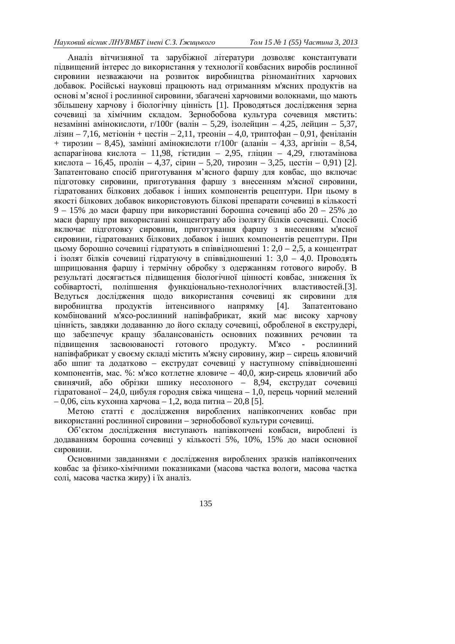Аналіз вітчизняної та зарубіжної літератури дозволяє константувати підвищений інтерес до використання у технології ковбасних виробів рослинної сировини незважаючи на розвиток виробництва різноманітних харчових добавок. Російські науковці працюють над отриманням м'ясних продуктів на основі м'ясної і рослинної сировини, збагачені харчовими волокнами, що мають збільшену харчову і біологічну цінність [1]. Проводяться дослідження зерна сочевиці за хімічним складом. Зернобобова культура сочевиця мястить: незамінні амінокислоти, г/100г (валін – 5,29, ізолейцин – 4,25, лейцин – 5,37, лізин – 7,16, метіонін + цестін – 2,11, треонін – 4,0, триптофан – 0,91, феніланін + тирозин – 8,45), замінні амінокислоти г/100г (аланін – 4,33, аргінін – 8,54, аспарагінова кислота – 11,98, гістидин – 2,95, гліцин – 4,29, глютамінова кислота – 16,45, пролін – 4,37, сірин – 5,20, тирозин – 3,25, цестін – 0,91) [2]. Запатентовано спосіб приготування м'ясного фаршу для ковбас, що включає підготовку сировини, приготування фаршу з внесенням м'ясної сировини, гілратованих білкових лобавок і інших компонентів рецептури. При цьому в якості білкових добавок використовують білкові препарати сочевиці в кількості 9 – 15% до маси фаршу при використанні борошна сочевиці або 20 – 25% до маси фаршу при використанні концентрату або ізоляту білків сочевиці. Спосіб включає підготовку сировини, приготування фаршу з внесенням м'ясної сировини, гідратованих білкових добавок і інших компонентів рецептури. При иьому борошно сочевиці гілратують в співвілношенні 1: 2,0 – 2,5, а концентрат  $\dot{\rm i}$  ізолят білків сочевиці гідратуючу в співвідношенні 1: 3,0 – 4,0. Проводять шприцювання фаршу і термічну обробку з одержанням готового виробу. В результаті лосягається пілвишення біологічної цінності ковбас, зниження їх собівартості, поліпшення функціонально-технологічних властивостей.[3]. Ведуться дослідження щодо використання сочевиці як сировини для виробництва продуктів інтенсивного напрямку [4]. Запатентовано комбінований м'ясо-рослинний напівфабрикат, який має високу харчову цінність, завдяки додаванню до його складу сочевиці, обробленої в екструдері, що забезпечує кращу збалансованість основних поживних речовин та підвищення засвоюваності готового продукту. М'ясо рослинний напівфабрикат у своєму складі містить м'ясну сировину, жир – сирець яловичий або шпиг та додатково – екструдат сочевиці у наступному співвідношенні компонентів, мас. %: м'ясо котлетне яловиче - 40,0, жир-сирець яловичий або свинячий, або обрізки шпику несолоного – 8,94, екструдат сочевиці гідратованої – 24,0, цибуля городня свіжа чищена – 1,0, перець чорний мелений  $-0.06$ , сіль кухонна харчова – 1,2, вода питна – 20,8 [5].

Метою статті є дослідження вироблених напівкопчених ковбас при використанні рослинної сировини – зернобобової культури сочевиці.

Об'єктом дослідження виступають напівкопчені ковбаси, вироблені із додаванням борошна сочевиці у кількості 5%, 10%, 15% до маси основної сировини.

Основними завданнями є дослідження вироблених зразків напівкопчених ковбас за фізико-хімічними показниками (масова частка вологи, масова частка солі, масова частка жиру) і їх аналіз.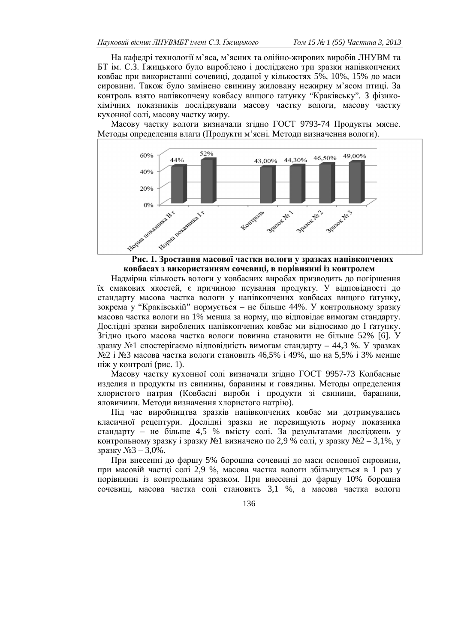На кафедрі технології м'яса, м'ясних та олійно-жирових виробів ЛНУВМ та БТ ім. С.З. Ґжицького було вироблено і досліджено три зразки напівкопчених ковбас при використанні сочевиці, доданої у кількостях 5%, 10%, 15% до маси сировини. Також було замінено свинину жиловану нежирну м'ясом птиці. За контроль взято напівкопчену ковбасу вищого ґатунку "Краківську". З фізикохімічних показників досліджували масову частку вологи, масову частку кухонної солі, масову частку жиру.

Масову частку вологи визначали згілно ГОСТ 9793-74 Пролукты мясне. Методы определения влаги (Продукти м'ясні. Методи визначення вологи).





Надмірна кількость вологи у ковбасних виробах призводить до погіршення їх смакових якостей, є причиною псування продукту. У відповідності до стандарту масова частка вологи у напівкопчених ковбасах вищого ґатунку, зокрема у "Краківській" нормується – не більше 44%. У контрольному зразку масова частка вологи на 1% менша за норму, що відповідає вимогам стандарту. Дослідні зразки вироблених напівкопчених ковбас ми відносимо до І ґатунку. Згідно цього масова частка вологи повинна становити не більше 52% [6]. У зразку №1 спостерігаємо вілповілність вимогам станларту – 44,3 %. У зразках №2 i №3 масова частка вологи становить 46,5% i 49%, що на 5,5% i 3% менше ніж у контролі (рис. 1).

Масову частку кухонної солі визначали згідно ГОСТ 9957-73 Колбасные изделия и продукты из свинины, баранины и говядины. Методы определения хлористого натрия (Ковбасні вироби і продукти зі свинини, баранини, яловичини. Методи визначення хлористого натрію).

Під час виробництва зразків напівкопчених ковбас ми дотримувались класичної рецептури. Дослідні зразки не перевищують норму показника стандарту – не більше 4,5 % вмісту солі. За результатами досліджень у контрольному зразку і зразку  $\mathbb{N}$ я визначено по 2,9 % солі, у зразку  $\mathbb{N}$ °2 – 3,1%, у зразку №3 – 3,0%.

При внесенні до фаршу 5% борошна сочевиці до маси основної сировини, при масовій частці солі 2,9 %, масова частка вологи збільшується в 1 раз у порівнянні із контрольним зразком. При внесенні до фаршу 10% борошна сочевиці, масова частка солі становить 3,1 %, а масова частка вологи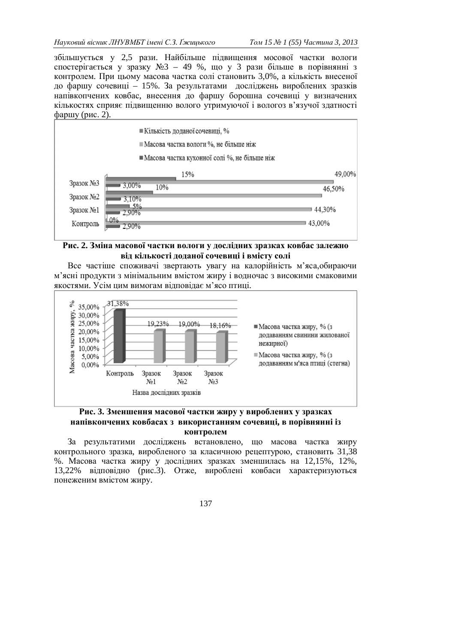збільшується у 2,5 рази. Найбільше підвищення мосової частки вологи спостерігається у зразку №3 – 49 %, що у 3 рази більше в порівнянні з контролем. При цьому масова частка солі становить 3,0%, а кількість внесеної до фаршу сочевиці – 15%. За результатами досліджень вироблених зразків напівкопчених ковбас, внесення до фаршу борошна сочевиці у визначених кількостях сприяє підвищенню волого утримуючої і вологоз в'язучої здатності  $\Phi$ аршу (рис. 2).



## Рис. 2. Зміна масової частки вологи у дослідних зразках ковбас залежно **від кількості доданої сочевиці і вмісту солі**

Все частіше споживачі звертають увагу на калорійність м'яса, обираючи м'ясні продукти з мінімальним вмістом жиру і водночас з високими смаковими якостями. Усім цим вимогам відповідає м'ясо птиці.



Рис. 3. Зменшення масової частки жиру у вироблених у зразках **НАПІВКОПЧЕНИХ КОВбАСАХ З ВИКОРИСТАННЯМ СОЧЕВИЦІ, В ПОРІВНЯННІ ІЗ контролем** 

За результатими досліджень встановлено, що масова частка жиру контрольного зразка, виробленого за класичною рецептурою, становить 31,38 %. Масова частка жиру у дослідних зразках зменшилась на 12,15%, 12%, 13,22% відповідно (рис.3). Отже, вироблені ковбаси характеризуються понеженим вмістом жиру.